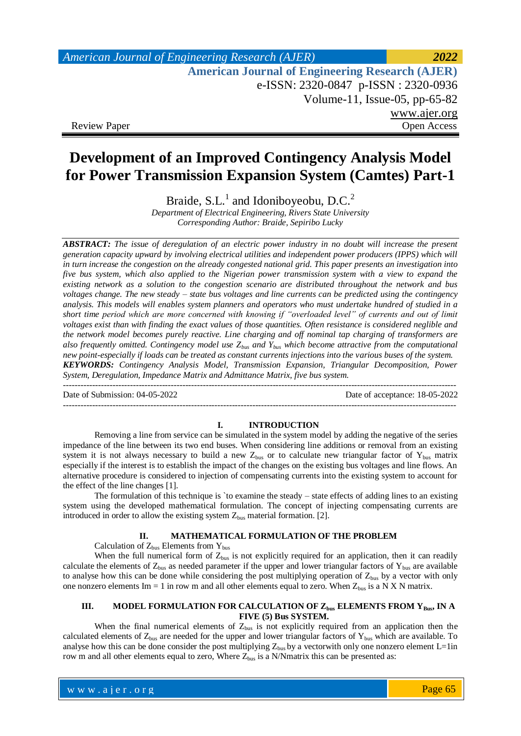| <b>American Journal of Engineering Research (AJER)</b> | 2022         |
|--------------------------------------------------------|--------------|
| <b>American Journal of Engineering Research (AJER)</b> |              |
| e-ISSN: 2320-0847 p-ISSN: 2320-0936                    |              |
| Volume-11, Issue-05, pp-65-82                          |              |
|                                                        | www.ajer.org |
| <b>Review Paper</b>                                    | Open Access  |

# **Development of an Improved Contingency Analysis Model for Power Transmission Expansion System (Camtes) Part-1**

Braide, S.L. $<sup>1</sup>$  and Idoniboyeobu, D.C.<sup>2</sup></sup>

*Department of Electrical Engineering, Rivers State University Corresponding Author: Braide, Sepiribo Lucky*

*ABSTRACT: The issue of deregulation of an electric power industry in no doubt will increase the present generation capacity upward by involving electrical utilities and independent power producers (IPPS) which will in turn increase the congestion on the already congested national grid. This paper presents an investigation into five bus system, which also applied to the Nigerian power transmission system with a view to expand the existing network as a solution to the congestion scenario are distributed throughout the network and bus voltages change. The new steady – state bus voltages and line currents can be predicted using the contingency analysis. This models will enables system planners and operators who must undertake hundred of studied in a short time period which are more concerned with knowing if "overloaded level" of currents and out of limit voltages exist than with finding the exact values of those quantities. Often resistance is considered neglible and the network model becomes purely reactive. Line charging and off nominal tap charging of transformers are also frequently omitted. Contingency model use Zbus and Ybus which become attractive from the computational new point-especially if loads can be treated as constant currents injections into the various buses of the system. KEYWORDS: Contingency Analysis Model, Transmission Expansion, Triangular Decomposition, Power System, Deregulation, Impedance Matrix and Admittance Matrix, five bus system.* 

Date of Submission: 04-05-2022 Date of acceptance: 18-05-2022

--------------------------------------------------------------------------------------------------------------------------------------- ---------------------------------------------------------------------------------------------------------------------------------------

### **I. INTRODUCTION**

Removing a line from service can be simulated in the system model by adding the negative of the series impedance of the line between its two end buses. When considering line additions or removal from an existing system it is not always necessary to build a new  $Z_{bus}$  or to calculate new triangular factor of  $Y_{bus}$  matrix especially if the interest is to establish the impact of the changes on the existing bus voltages and line flows. An alternative procedure is considered to injection of compensating currents into the existing system to account for the effect of the line changes [1].

The formulation of this technique is `to examine the steady – state effects of adding lines to an existing system using the developed mathematical formulation. The concept of injecting compensating currents are introduced in order to allow the existing system  $Z_{bus}$  material formation. [2].

## **II. MATHEMATICAL FORMULATION OF THE PROBLEM**

Calculation of  $Z_{bus}$  Elements from  $Y_{bus}$ 

When the full numerical form of  $Z_{bus}$  is not explicitly required for an application, then it can readily calculate the elements of  $Z_{bus}$  as needed parameter if the upper and lower triangular factors of  $Y_{bus}$  are available to analyse how this can be done while considering the post multiplying operation of  $Z_{bus}$  by a vector with only one nonzero elements Im = 1 in row m and all other elements equal to zero. When  $Z_{bus}$  is a N X N matrix.

## **III.** MODEL FORMULATION FOR CALCULATION OF Z<sub>bus</sub> ELEMENTS FROM Y<sub>Bus</sub>, IN A **FIVE (5) Bus SYSTEM.**

When the final numerical elements of  $Z_{bus}$  is not explicitly required from an application then the calculated elements of  $Z_{bus}$  are needed for the upper and lower triangular factors of  $Y_{bus}$  which are available. To analyse how this can be done consider the post multiplying  $Z_{bus}$  by a vector with only one nonzero element L=1in row m and all other elements equal to zero, Where  $Z_{bus}$  is a N/Nmatrix this can be presented as: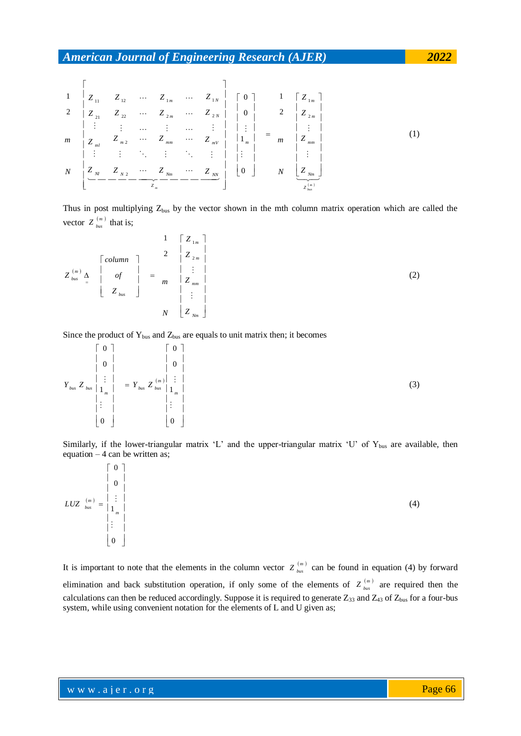1 
$$
\begin{vmatrix} 2 \\ 2 \\ 2 \\ 2 \end{vmatrix} = \begin{vmatrix} 2 \\ 2 \\ 2 \end{vmatrix} = \begin{vmatrix} 2 \\ 2 \\ 2 \end{vmatrix} = \begin{vmatrix} 2 \\ 2 \\ 2 \end{vmatrix} = \begin{vmatrix} 2 \\ 2 \\ 2 \end{vmatrix} = \begin{vmatrix} 2 \\ 2 \\ 2 \end{vmatrix} = \begin{vmatrix} 2 \\ 2 \\ 2 \end{vmatrix} = \begin{vmatrix} 2 \\ 2 \\ 2 \end{vmatrix} = \begin{vmatrix} 2 \\ 2 \\ 2 \end{vmatrix} = \begin{vmatrix} 2 \\ 2 \\ 2 \end{vmatrix} = \begin{vmatrix} 2 \\ 2 \\ 2 \end{vmatrix} = \begin{vmatrix} 2 \\ 2 \\ 2 \end{vmatrix} = \begin{vmatrix} 2 \\ 2 \\ 2 \end{vmatrix} = \begin{vmatrix} 2 \\ 2 \\ 2 \end{vmatrix} = \begin{vmatrix} 2 \\ 2 \\ 2 \end{vmatrix} = \begin{vmatrix} 2 \\ 2 \\ 2 \end{vmatrix} = \begin{vmatrix} 2 \\ 2 \\ 2 \end{vmatrix} = \begin{vmatrix} 2 \\ 2 \\ 2 \end{vmatrix} = \begin{vmatrix} 2 \\ 2 \\ 2 \end{vmatrix} = \begin{vmatrix} 2 \\ 2 \\ 2 \end{vmatrix} = \begin{vmatrix} 2 \\ 2 \\ 2 \end{vmatrix} = \begin{vmatrix} 2 \\ 2 \end{vmatrix} = \begin{vmatrix} 2 \\ 2 \end{vmatrix} = \begin{vmatrix} 2 \\ 2 \end{vmatrix} = \begin{vmatrix} 2 \\ 2 \end{vmatrix} = \begin{vmatrix} 2 \\ 2 \end{vmatrix} = \begin{vmatrix} 2 \\ 2 \end{vmatrix} = \begin{vmatrix} 2 \\ 2 \end{vmatrix} = \begin{vmatrix} 2 \\ 2 \end{vmatrix} = \begin{vmatrix} 2 \\ 2 \end{vmatrix} = \begin{vmatrix} 2 \\ 2 \end{vmatrix} = \begin{vmatrix} 2 \\ 2 \end{vmatrix} = \begin{vmatrix} 2 \\ 2 \end{vmatrix} = \begin{vmatrix} 2 \\ 2 \end{vmatrix} = \begin{vmatrix} 2 \\ 2 \end{vmatrix} = \begin{vmatrix} 2 \\ 2 \end{vmatrix} = \begin{vmatrix} 2 \\ 2 \end{vmatrix} = \begin{vmatrix} 2 \\ 2 \end{vmatrix} = \begin{vmatrix} 2 \\ 2 \
$$

Thus in post multiplying  $Z_{bus}$  by the vector shown in the mth column matrix operation which are called the vector  $Z_{bus}^{(m)}$  that is;

$$
Z_{bus}^{(m)} \triangleq \begin{bmatrix} column & 1 & \begin{bmatrix} Z_{1m} \\ Z_{2m} \end{bmatrix} \\ \begin{bmatrix} 2 & | & Z_{2m} \\ 0 & | & | & \vdots \\ 0 & | & Z_{mx} \end{bmatrix} \end{bmatrix} = \begin{bmatrix} 2 & | & Z_{1m} \\ | & | & Z_{mn} \\ | & | & Z_{mn} \\ | & | & \vdots \\ | & | & \ddots \\ | & | & | & \ddots \\ | & | & | & \ddots \end{bmatrix}
$$
 (2)

Since the product of  $Y_{bus}$  and  $Z_{bus}$  are equals to unit matrix then; it becomes

$$
Y_{bus} Z_{bus} \begin{bmatrix} 0 \\ 0 \\ \vdots \\ 1_m \\ \vdots \\ 0 \end{bmatrix} = Y_{bus} Z \begin{bmatrix} 0 \\ 0 \\ \vdots \\ 1_m \\ \vdots \\ 0 \end{bmatrix} \tag{3}
$$

Similarly, if the lower-triangular matrix 'L' and the upper-triangular matrix 'U' of  $Y_{bus}$  are available, then equation  $-4$  can be written as;

$$
LUZ \begin{bmatrix} 0 \\ 0 \\ \vdots \\ 0 \end{bmatrix}
$$
\n(4)\n
$$
\begin{bmatrix} 0 \\ 0 \\ \vdots \\ 1 \\ \vdots \\ 0 \end{bmatrix}
$$

It is important to note that the elements in the column vector  $Z_{bus}^{(m)}$  can be found in equation (4) by forward elimination and back substitution operation, if only some of the elements of  $Z_{bus}^{(m)}$  are required then the calculations can then be reduced accordingly. Suppose it is required to generate  $Z_{33}$  and  $Z_{43}$  of  $Z_{bus}$  for a four-bus system, while using convenient notation for the elements of L and U given as;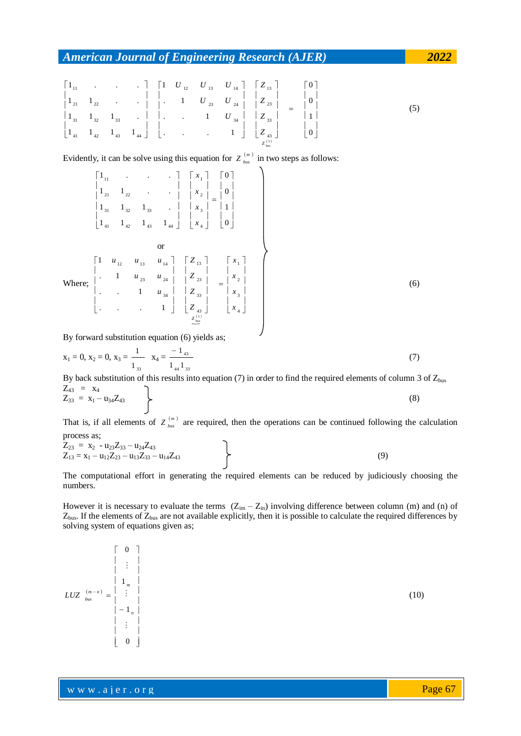$$
\begin{vmatrix}\n1_{11} & \cdots & \cdots & \begin{vmatrix}\n1 & U_{12} & U_{13} & U_{14}\n\end{vmatrix} & \begin{vmatrix}\nZ_{13} & \cdots & \begin{vmatrix}\n0 \\
1_{21} & 1_{22} & \cdots & \begin{vmatrix}\n\end{vmatrix} & \begin{vmatrix}\n1 & U_{12} & U_{13} & U_{14}\n\end{vmatrix} & \begin{vmatrix}\nZ_{13} & \cdots & \begin{vmatrix}\n0 \\
1_{31} & 1_{32} & 1_{33} & \cdots & \begin{vmatrix}\n\end{vmatrix} & \begin{vmatrix}\n\cdots & \cdots & \begin{vmatrix}\n1 & U_{34} & \cdots & \begin{vmatrix}\nZ_{33} & \cdots & \begin{vmatrix}\nZ_{34} & \cdots & \begin{vmatrix}\nZ_{35} & \cdots & \begin{vmatrix}\nZ_{35} & \cdots & \begin{vmatrix}\nZ_{35} & \cdots & \begin{vmatrix}\nZ_{35} & \cdots & \begin{vmatrix}\nZ_{35} & \cdots & \begin{vmatrix}\nZ_{35} & \cdots & \begin{vmatrix}\nZ_{35} & \cdots & \begin{vmatrix}\nZ_{35} & \cdots & \begin{vmatrix}\nZ_{35} & \cdots & \begin{vmatrix}\nZ_{35} & \cdots & \begin{vmatrix}\nZ_{35} & \cdots & \begin{vmatrix}\nZ_{35} & \cdots & \begin{vmatrix}\nZ_{35} & \cdots & \begin{vmatrix}\nZ_{35} & \cdots & \begin{vmatrix}\nZ_{35} & \cdots & \begin{vmatrix}\nZ_{35} & \cdots & \begin{vmatrix}\nZ_{35} & \cdots & \begin{vmatrix}\nZ_{35} & \cdots & \begin{vmatrix}\nZ_{35} & \cdots & \begin{vmatrix}\nZ_{35} & \cdots & \begin{vmatrix}\nZ_{35} & \cdots & \begin{vmatrix}\nZ_{35} & \cdots & \begin{vmatrix}\nZ_{35} & \cdots & \begin{vmatrix}\nZ_{35} & \cdots & \begin{vmatrix}\nZ_{35} & \cdots & \begin{vmatrix}\nZ_{35} & \cdots & \begin{vmatrix}\nZ_{35} & \cdots & \begin{vmatrix}\nZ_{35} & \cdots & \begin{vmatrix}\
$$

Evidently, it can be solve using this equation for  $Z_{\text{bus}}^{(m)}$  in two steps as follows:

1 . . . *x* 0 11 1 1 1 . . *x* 0 21 22 2 1 1 1 . *x* 1 31 32 33 3 1 1 1 1 *x* 0 41 42 43 44 4 or 1 *u u u Z x* 12 13 14 13 1 . 1 *u u Z x* Where; 23 24 23 2 (6) . . 1 *u Z x* 33 34 3 . . . 1 *Z x* 43 4 3 *bus Z* 

 $Z_{bus}$ 

 $\overline{\phantom{a}}$ 

 $\overline{\phantom{a}}$  $\overline{\phantom{a}}$ 

By forward substitution equation (6) yields as;

$$
x_1 = 0, x_2 = 0, x_3 = \frac{1}{1_{33}} \quad x_4 = \frac{-1_{43}}{1_{44} 1_{33}}
$$
 (7)

By back substitution of this results into equation (7) in order to find the required elements of column 3 of  $Z_{bus}$  $Z_{43} = x_4$  $Z_{33} = x_1 - u_{34}Z_{43}$  (8)

That is, if all elements of 
$$
Z_{bus}^{(m)}
$$
 are required, then the operations can be continued following the calculation

process as;  $Z_{23} = x_2 - u_{23}Z_{33} - u_{24}Z_{43}$  $Z_{13} = x_1 - u_{12}Z_{23} - u_{13}Z_{33} - u_{14}Z_{43}$  (9)

The computational effort in generating the required elements can be reduced by judiciously choosing the numbers.

However it is necessary to evaluate the terms  $(Z_{im} - Z_{in})$  involving difference between column (m) and (n) of  $Z_{bus}$ . If the elements of  $Z_{bus}$  are not available explicitly, then it is possible to calculate the required differences by solving system of equations given as;

 $(m-n)$  $\overline{\phantom{a}}$  $\overline{\phantom{a}}$  $\overline{\phantom{a}}$  $\overline{\phantom{a}}$  $\overline{\phantom{a}}$  $\overline{\phantom{a}}$  $\overline{\phantom{a}}$  $\overline{\phantom{a}}$  $\overline{\phantom{a}}$ J  $\overline{\phantom{a}}$ L  $\mathbf{r}$  $\mathbf{r}$  $\mathbf{r}$  $\mathbf{r}$  $\mathsf{L}$  $\mathsf{L}$  $\mathsf{L}$  $\mathsf{L}$ L  $\mathsf{L}$  $\overline{a}$  $(-n)$  = 0 1 1  $\boldsymbol{0}$  $\langle \rangle$  $\vdots$  $\vdots$ *n*  $\frac{LUZ^{(m-n)}}{b^{us}} = \begin{bmatrix} 1 \ \vdots \ 1 \end{bmatrix}$  (10)

(5)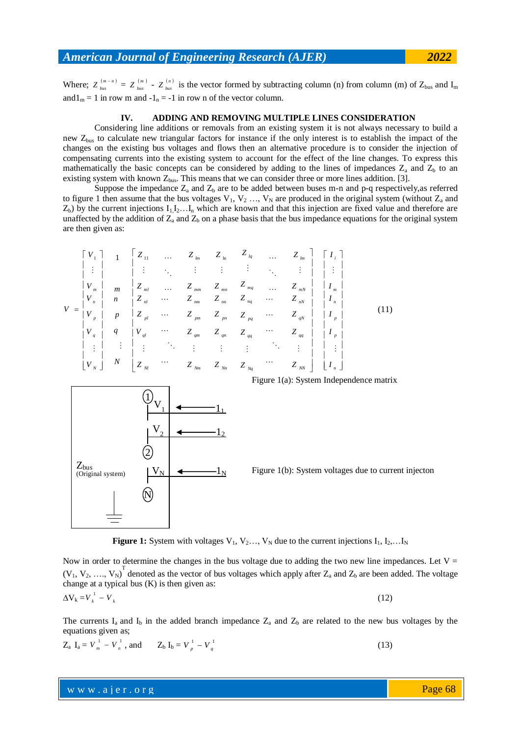Where;  $Z_{bus}^{(m-n)} = Z_{bus}^{(m)} - Z_{bus}^{(n)}$  is the vector formed by subtracting column (n) from column (m) of  $Z_{bus}$  and I<sub>m</sub> and  $1_m = 1$  in row m and  $-1_n = -1$  in row n of the vector column.

#### **IV. ADDING AND REMOVING MULTIPLE LINES CONSIDERATION**

Considering line additions or removals from an existing system it is not always necessary to build a new  $Z_{bus}$  to calculate new triangular factors for instance if the only interest is to establish the impact of the changes on the existing bus voltages and flows then an alternative procedure is to consider the injection of compensating currents into the existing system to account for the effect of the line changes. To express this mathematically the basic concepts can be considered by adding to the lines of impedances  $Z_a$  and  $Z_b$  to an existing system with known  $Z_{bus}$ . This means that we can consider three or more lines addition. [3].

Suppose the impedance  $Z_a$  and  $Z_b$  are to be added between buses m-n and p-q respectively, as referred to figure 1 then assume that the bus voltages  $V_1, V_2, ..., V_N$  are produced in the original system (without  $Z_a$  and  $Z_b$ ) by the current injections  $I_1I_2...I_n$  which are known and that this injection are fixed value and therefore are unaffected by the addition of  $Z_a$  and  $Z_b$  on a phase basis that the bus impedance equations for the original system are then given as:

 *n p p n m i NN qq qN nN m N lm Nq qq pq nq m q lq Nn qn pn nn m n Nm qm pm nm m m lm Nl ql pl nl m l N q p n m I I I I I I Z Z Z Z Z Z Z Z Z Z Z Z Z Z Z Z Z Z Z Z Z Z Z Z Z V Z Z Z Z N q p n m V V V V V V V* <sup>1</sup> 1 <sup>11</sup> ln (11)

Figure 1(a): System Independence matrix

Figure 1(b): System voltages due to current injecton



Now in order to determine the changes in the bus voltage due to adding the two new line impedances. Let  $V =$  $(V_1, V_2, \ldots, V_N)$ <sup>T</sup> denoted as the vector of bus voltages which apply after  $Z_a$  and  $Z_b$  are been added. The voltage change at a typical bus (K) is then given as:  $\Delta V_k = V_k^{\frac{1}{k}} - V_k$  $(12)$ 

$$
\Delta V_k = V_{k} - V_{k} \tag{12}
$$

The currents I<sub>a</sub> and I<sub>b</sub> in the added branch impedance  $Z_a$  and  $Z_b$  are related to the new bus voltages by the equations given as;

$$
Z_{a} I_{a} = V_{m}^{1} - V_{n}^{1}, \text{ and } Z_{b} I_{b} = V_{p}^{1} - V_{q}^{1}
$$
 (13)

www.ajer.org w w w . a j e r . o r g

 $Z_{bus}$ (Original system) N 2 1  $\frac{1}{1}$  $1<sub>2</sub>$  $V_N$   $\longleftarrow$   $1_N$  $\overline{V}_2$  $V_{1}$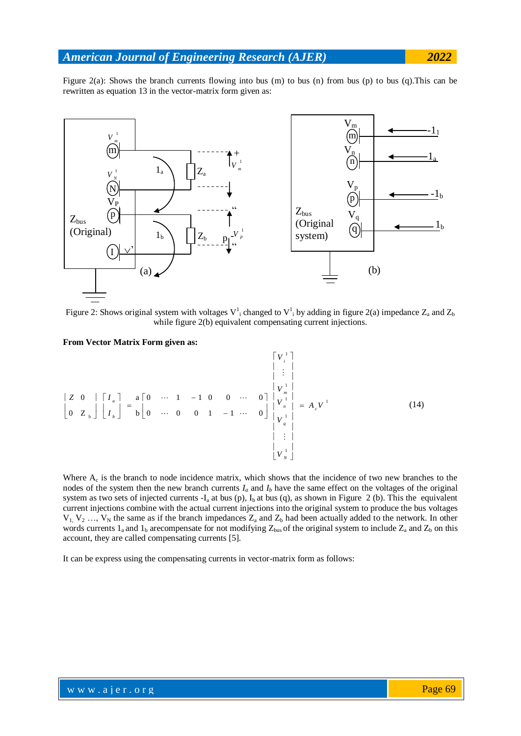Figure 2(a): Shows the branch currents flowing into bus (m) to bus (n) from bus (p) to bus (q).This can be rewritten as equation 13 in the vector-matrix form given as:



Figure 2: Shows original system with voltages  $V^1$  changed to  $V^1$  by adding in figure 2(a) impedance  $Z_a$  and  $Z_b$ while figure 2(b) equivalent compensating current injections.

#### **From Vector Matrix Form given as:**

$$
\begin{vmatrix} Z & 0 & | & [I_a] \\ 0 & Z_b \end{vmatrix} = \begin{vmatrix} a & 0 & \cdots & 1 & -1 & 0 & 0 & \cdots & 0 \\ 0 & 0 & 0 & 1 & -1 & \cdots & 0 \end{vmatrix} \begin{vmatrix} V_1^1 \\ V_2^1 \\ V_3^1 \\ V_4^1 \\ V_5^1 \end{vmatrix} = A_c V^1
$$
 (14)

Where  $A_c$  is the branch to node incidence matrix, which shows that the incidence of two new branches to the nodes of the system then the new branch currents  $I_a$  and  $I_b$  have the same effect on the voltages of the original system as two sets of injected currents -I<sub>a</sub> at bus (p), I<sub>b</sub> at bus (q), as shown in Figure 2 (b). This the equivalent current injections combine with the actual current injections into the original system to produce the bus voltages  $V_1, V_2, \ldots, V_N$  the same as if the branch impedances  $Z_a$  and  $Z_b$  had been actually added to the network. In other words currents  $1_a$  and  $1_b$  arecompensate for not modifying  $Z_{bus}$  of the original system to include  $Z_a$  and  $Z_b$  on this account, they are called compensating currents [5].

It can be express using the compensating currents in vector-matrix form as follows: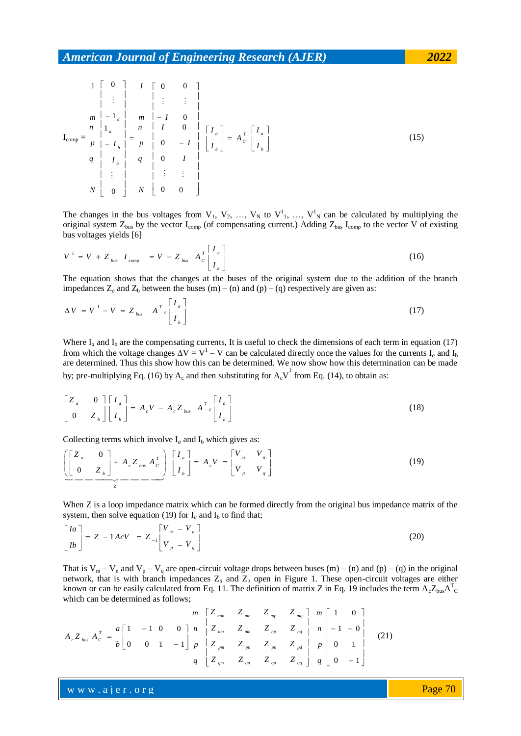$$
I_{comp} = \begin{bmatrix}\n1 & 0 & 1 & 1 & 0 & 0 & 1 \\
\vdots & \vdots & \vdots & \vdots & \vdots & \vdots & \vdots \\
m & -1_a & m & -1 & 0 & 0 \\
n & 1_a & \vdots & n & 1 & 0 & 0 \\
n & -1_b & \vdots & \vdots & \vdots & \vdots \\
p & -1_b & \vdots & p & 0 & -1 & 1 \\
q & 1_b & q & 0 & I & 0 \\
\vdots & \vdots & \vdots & \vdots & \vdots & \vdots \\
N & 0 & N & 0 & 0 & 0\n\end{bmatrix}
$$
\n(15)

The changes in the bus voltages from  $V_1$ ,  $V_2$ , ...,  $V_N$  to  $V^1$ <sub>1</sub>, ...,  $V^1_N$  can be calculated by multiplying the original system  $Z_{bus}$  by the vector  $I_{comp}$  (of compensating current.) Adding  $Z_{bus}$   $I_{comp}$  to the vector V of existing bus voltages yields [6]

$$
V^1 = V + Z_{bus} I_{comp} = V - Z_{bus} A_c^T \begin{bmatrix} I_a \\ I_b \end{bmatrix}
$$
 (16)

The equation shows that the changes at the buses of the original system due to the addition of the branch impedances  $Z_a$  and  $Z_b$  between the buses (m) – (n) and (p) – (q) respectively are given as:

$$
\Delta V = V^1 - V = Z_{bus} A^T \begin{bmatrix} I_a \\ I_b \end{bmatrix}
$$
 (17)

Where  $I_a$  and  $I_b$  are the compensating currents, It is useful to check the dimensions of each term in equation (17) from which the voltage changes  $\Delta V = V^1 - V$  can be calculated directly once the values for the currents  $I_a$  and  $I_b$ are determined. Thus this show how this can be determined. We now show how this determination can be made by; pre-multiplying Eq. (16) by A<sub>c</sub> and then substituting for  $A_cV^1$  from Eq. (14), to obtain as:

$$
\begin{bmatrix} Z_a & 0 \ 0 & Z_b \end{bmatrix} \begin{bmatrix} I_a \\ I_b \end{bmatrix} = A_c V - A_c Z_{bus} A^T \begin{bmatrix} I_a \\ I_b \end{bmatrix}
$$
 (18)

Collecting terms which involve  $I_a$  and  $I_b$  which gives as:

$$
\left(\begin{bmatrix} Z_a & 0 \\ 0 & Z_b \end{bmatrix} + A_c Z_{bus} A_c^T \right) \begin{bmatrix} I_a \\ I_b \end{bmatrix} = A_c V = \begin{bmatrix} V_m & V_n \\ V_p & V_q \end{bmatrix} \tag{19}
$$

When Z is a loop impedance matrix which can be formed directly from the original bus impedance matrix of the system, then solve equation (19) for  $I_a$  and  $I_b$  to find that;

$$
\begin{bmatrix} Ia \\ Ib \end{bmatrix} = Z - 1ACV = Z_{-1} \begin{bmatrix} V_m - V_n \\ V_p - V_q \end{bmatrix}
$$
 (20)

That is  $V_m - V_n$  and  $V_p - V_q$  are open-circuit voltage drops between buses (m) – (n) and (p) – (q) in the original network, that is with branch impedances  $Z_a$  and  $Z_b$  open in Figure 1. These open-circuit voltages are either known or can be easily calculated from Eq. 11. The definition of matrix Z in Eq. 19 includes the term  $A_cZ_{bus}A_C^T$ which can be determined as follows;

$$
A_{c}Z_{bus}A_{c}^{T} = \begin{array}{c|cccc|c} a & 1 & -1 & 0 & 0 & n & Z_{mn} & Z_{mp} & Z_{mq} & m & 1 & 0\\ a & 1 & -1 & 0 & 0 & n & Z_{nm} & Z_{mn} & Z_{np} & Z_{nq} & n & -1 & -0\\ b & 0 & 0 & 1 & -1 & p & Z_{pm} & Z_{pn} & Z_{pn} & Z_{p1} & p & 0 & 1\\ q & Z_{qm} & Z_{qm} & Z_{qn} & Z_{qp} & Z_{qq} & Q_{0} & -1 \end{array}
$$
 (21)

www.ajer.org w w w . a j e r . o r g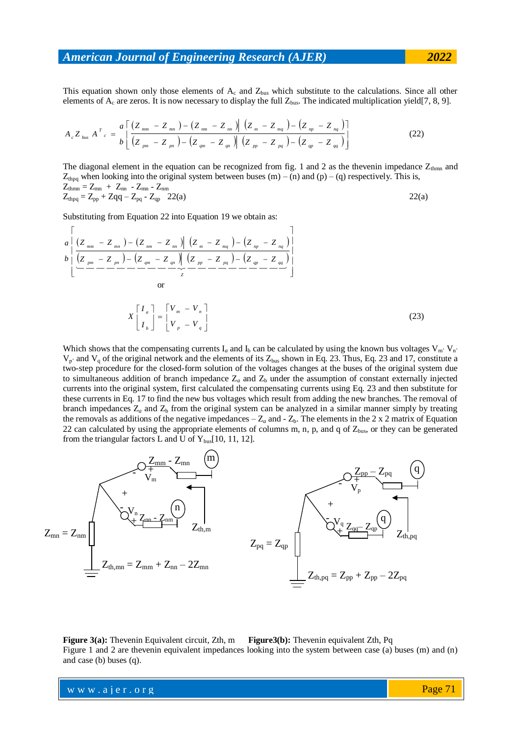This equation shown only those elements of  $A_c$  and  $Z_{bus}$  which substitute to the calculations. Since all other elements of  $A_c$  are zeros. It is now necessary to display the full  $Z_{bus}$ . The indicated multiplication yield[7, 8, 9].

$$
A_c Z_{bus} A^T_c = \frac{a}{b} \left[ \frac{(Z_{mm} - Z_{mn}) - (Z_{mm} - Z_{nn}) (Z_{m} - Z_{mq}) - (Z_{np} - Z_{nq})}{(Z_{pm} - Z_{pn}) - (Z_{qm} - Z_{qn}) (Z_{pp} - Z_{pq}) - (Z_{qp} - Z_{qq})} \right]
$$
(22)

The diagonal element in the equation can be recognized from fig. 1 and 2 as the thevenin impedance  $Z_{\text{thmn}}$  and  $Z_{thpq}$  when looking into the original system between buses (m) – (n) and (p) – (q) respectively. This is,  $Z_{\text{thmn}} = Z_{\text{mn}} + Z_{\text{nn}} - Z_{\text{mn}} - Z_{\text{nm}}$  $Z_{\text{thpq}} = Z_{\text{pp}} + Z_{\text{qq}} - Z_{\text{qq}} - Z_{\text{qp}} - 22(a)$  22(a)

Substituting from Equation 22 into Equation 19 we obtain as:

$$
a \left| \frac{(Z_{mm} - Z_{mn}) - (Z_{nm} - Z_{mn}) \left| (Z_{m} - Z_{mq}) - (Z_{np} - Z_{nq}) \right|}{\left| \frac{(Z_{pm} - Z_{pn}) - (Z_{qm} - Z_{qn}) \left| (Z_{pp} - Z_{pq}) - (Z_{qp} - Z_{nq}) \right|}{\sigma} \right|} \right|
$$
\n
$$
b \left| \frac{(Z_{pm} - Z_{pn}) - (Z_{qm} - Z_{qn}) \left| (Z_{pp} - Z_{pq}) - (Z_{qp} - Z_{nq}) \right|}{\sigma} \right|
$$
\n
$$
c \left| I_a \right| = \left[ V_m - V_n \right]
$$
\n
$$
X \left[ I_b \right] = \left[ V_p - V_q \right]
$$
\n(23)

Which shows that the compensating currents  $I_a$  and  $I_b$  can be calculated by using the known bus voltages  $V_m$ <sup>,</sup>  $V_n$  $V_p$  and  $V_q$  of the original network and the elements of its  $Z_{bus}$  shown in Eq. 23. Thus, Eq. 23 and 17, constitute a two-step procedure for the closed-form solution of the voltages changes at the buses of the original system due to simultaneous addition of branch impedance  $Z_a$  and  $Z_b$  under the assumption of constant externally injected currents into the original system, first calculated the compensating currents using Eq. 23 and then substitute for these currents in Eq. 17 to find the new bus voltages which result from adding the new branches. The removal of branch impedances  $Z_a$  and  $Z_b$  from the original system can be analyzed in a similar manner simply by treating the removals as additions of the negative impedances  $-Z_a$  and  $-Z_b$ . The elements in the 2 x 2 matrix of Equation 22 can calculated by using the appropriate elements of columns m, n, p, and q of  $Z_{bus}$ , or they can be generated from the triangular factors L and U of  $Y_{bus}$ [10, 11, 12].



**Figure 3(a):** Thevenin Equivalent circuit, Zth, m **Figure 3(b):** Thevenin equivalent Zth, Pq Figure 1 and 2 are thevenin equivalent impedances looking into the system between case (a) buses (m) and (n) and case (b) buses (q).

 $w w w$  .  $a$   $\gamma$  er . or  $g$ w w w . a j e r . o r g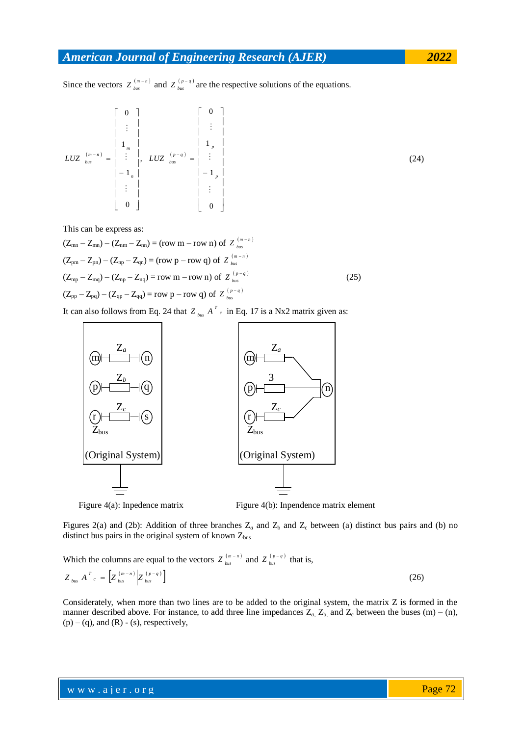Since the vectors  $Z_{bus}^{(m-n)}$  and  $Z_{bus}^{(p-q)}$  are the respective solutions of the equations.

$$
LUZ \begin{bmatrix} 0 \\ \vdots \\ \vdots \\ \vdots \\ \vdots \\ LUZ \end{bmatrix}, \quad LUZ \begin{bmatrix} 0 \\ \vdots \\ \vdots \\ \vdots \\ \vdots \\ \vdots \\ 0 \end{bmatrix} \qquad \begin{bmatrix} 0 \\ \vdots \\ \vdots \\ \vdots \\ \vdots \\ \vdots \\ 0 \end{bmatrix} \qquad \begin{bmatrix} 0 \\ \vdots \\ \vdots \\ \vdots \\ \vdots \\ \vdots \\ \vdots \\ \vdots \\ 0 \end{bmatrix} \qquad \qquad (24)
$$

This can be express as:

$$
(Z_{mn} - Z_{mn}) - (Z_{nm} - Z_{nn}) = (row m - row n) of Z_{bus}^{(m-n)}
$$
  
\n
$$
(Z_{pm} - Z_{pn}) - (Z_{np} - Z_{qn}) = (row p - row q) of Z_{bus}^{(m-n)}
$$
  
\n
$$
(Z_{mp} - Z_{mq}) - (Z_{np} - Z_{nq}) = row m - row n) of Z_{bus}^{(p-q)}
$$
  
\n
$$
(Z_{pp} - Z_{pq}) - (Z_{qp} - Z_{qq}) = row p - row q) of Z_{bus}^{(p-q)}
$$
\n(25)

It can also follows from Eq. 24 that  $Z_{bus} A^T_c$  in Eq. 17 is a Nx2 matrix given as:





Figure 4(a): Inpedence matrix Figure 4(b): Inpendence matrix element

Figures 2(a) and (2b): Addition of three branches  $Z_a$  and  $Z_b$  and  $Z_c$  between (a) distinct bus pairs and (b) no distinct bus pairs in the original system of known  $Z_{bus}$ 

Which the columns are equal to the vectors  $Z_{bus}^{(m-n)}$  and  $Z_{bus}^{(p-q)}$  that is,  $Z_{buc}^{(m-n)}$   $Z_{buc}^{(p-q)}$ *bus*  $Z_{bus} A^{T}{}_{c} = \left[ Z \frac{(m-n)}{bus} \right] Z \frac{(p-n)}{bus}$ (26)

Considerately, when more than two lines are to be added to the original system, the matrix Z is formed in the manner described above. For instance, to add three line impedances  $Z_a$ ,  $Z_b$ , and  $Z_c$  between the buses (m) – (n),  $(p) - (q)$ , and  $(R) - (s)$ , respectively,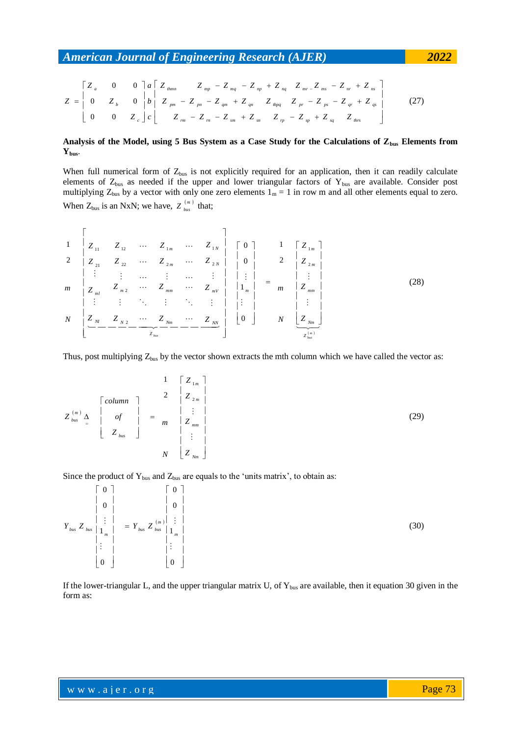$$
Z = \begin{bmatrix} Z_a & 0 & 0 \ 0 & Z_b & 0 \ 0 & 0 & Z_c \end{bmatrix} \begin{bmatrix} Z_{thmn} & Z_{mp} - Z_{mq} - Z_{mp} + Z_{nq} & Z_{mr} - Z_{ms} - Z_{nr} + Z_{ns} \ 0 & Z_b & 0 \ 0 & Z_c & 0 \end{bmatrix} \begin{bmatrix} 1 & 0 \ 0 & Z_{pm} - Z_{pm} - Z_{pm} + Z_{mp} & Z_{mp} - Z_{mp} - Z_{ps} - Z_{pr} + Z_{qs} \ 0 & 0 & Z_c \end{bmatrix} (27)
$$

## **Analysis of the Model, using 5 Bus System as a Case Study for the Calculations of Zbus Elements from Ybus**.

When full numerical form of  $Z_{bus}$  is not explicitly required for an application, then it can readily calculate elements of  $Z_{bus}$  as needed if the upper and lower triangular factors of  $Y_{bus}$  are available. Consider post multiplying  $Z_{bus}$  by a vector with only one zero elements  $1_m = 1$  in row m and all other elements equal to zero. When  $Z_{bus}$  is an NxN; we have,  $Z_{bus}^{(m)}$  that;

 *m bus bus Z Nm m m m m m Z NN m V N N Nm m m m m N m NI m l Z Z Z Z N m Z Z Z Z Z Z Z Z Z Z Z Z Z Z Z Z N m* 2 1 2 1 2 1 2 2 22 12 21 11 2 1 0 1 0 0 2 1 (28)

Thus, post multiplying  $Z_{bus}$  by the vector shown extracts the mth column which we have called the vector as:

$$
Z_{bus}^{(m)} \triangleq \begin{bmatrix} column \\ of \\ \begin{bmatrix} z_{1m} \\ \vdots \\ z_{bus} \end{bmatrix} = \begin{bmatrix} 2 & | & z_{2m} \\ \vdots & | & z_{2m} \\ \vdots & | & z_{mm} \\ z_{bus} \end{bmatrix} \end{bmatrix}
$$
 (29)

Since the product of  $Y_{bus}$  and  $Z_{bus}$  are equals to the 'units matrix', to obtain as:

$$
Y_{bus} Z_{bus} \begin{bmatrix} 0 & 0 & 0 \\ 0 & 0 & 0 \\ \vdots & \vdots & \vdots \\ 1_m & 1 \end{bmatrix} = Y_{bus} Z \begin{bmatrix} m \\ 0 \\ \vdots \\ 1_m \end{bmatrix} \begin{bmatrix} 0 \\ \vdots \\ 0 \end{bmatrix}
$$
 (30)

If the lower-triangular L, and the upper triangular matrix U, of  $Y_{bus}$  are available, then it equation 30 given in the form as: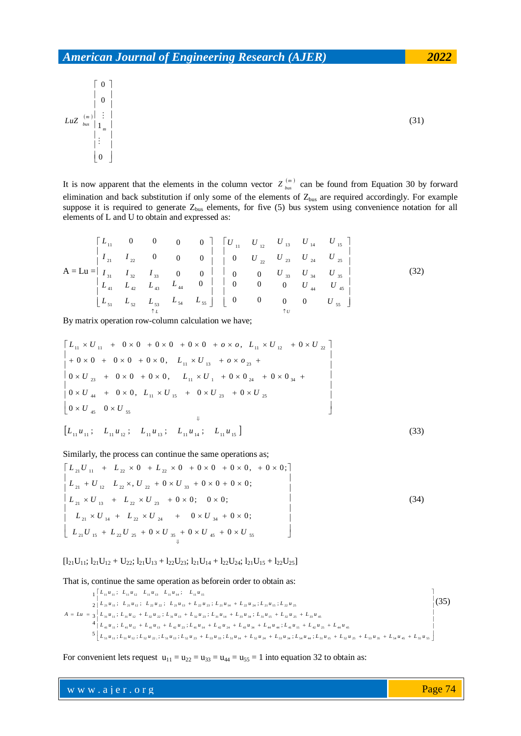

It is now apparent that the elements in the column vector  $Z_{bus}^{(m)}$  can be found from Equation 30 by forward elimination and back substitution if only some of the elements of  $Z_{bus}$  are required accordingly. For example suppose it is required to generate  $Z_{bus}$  elements, for five (5) bus system using convenience notation for all elements of L and U to obtain and expressed as:

$$
A = Lu = \begin{bmatrix} L_{11} & 0 & 0 & 0 & 0 \\ I_{21} & I_{22} & 0 & 0 & 0 \\ I_{31} & I_{32} & I_{33} & 0 & 0 \\ L_{41} & L_{42} & L_{43} & L_{44} & 0 \end{bmatrix} \begin{bmatrix} U_{11} & U_{12} & U_{13} & U_{14} & U_{15} \\ 0 & U_{22} & U_{23} & U_{24} & U_{25} \\ 0 & 0 & U_{33} & U_{34} & U_{35} \\ 0 & 0 & 0 & U_{44} & U_{45} \\ 0 & 0 & 0 & 0 & U_{46} \end{bmatrix}
$$
(32)

By matrix operation row-column calculation we have;

$$
\begin{bmatrix}\nL_{11} \times U_{11} + 0 \times 0 + 0 \times 0 + 0 \times 0 + \sigma \times \sigma, & L_{11} \times U_{12} + 0 \times U_{22} \\
+ 0 \times 0 + 0 \times 0 + 0 \times 0, & L_{11} \times U_{13} + \sigma \times \sigma_{23} + \\
0 \times U_{23} + 0 \times 0 + 0 \times 0, & L_{11} \times U_{1} + 0 \times 0_{24} + 0 \times 0_{34} + \\
0 \times U_{44} + 0 \times 0, & L_{11} \times U_{15} + 0 \times U_{23} + 0 \times U_{25} \\
0 \times U_{45} + 0 \times U_{55} + U_{11}u_{13}; & L_{11}u_{14}; & L_{11}u_{15}\n\end{bmatrix}
$$
\n(33)

Similarly, the process can continue the same operations as;

$$
\begin{bmatrix}\nL_{21}U_{11} + L_{22} \times 0 + L_{22} \times 0 + 0 \times 0 + 0 \times 0, + 0 \times 0;\n\\
L_{21} + U_{12} & L_{22} \times, U_{22} + 0 \times U_{33} + 0 \times 0 + 0 \times 0;\n\\
L_{12} \times U_{13} + L_{22} \times U_{23} + 0 \times 0; 0 \times 0;\n\\
L_{21} \times U_{14} + L_{22} \times U_{24} + 0 \times U_{34} + 0 \times 0;\n\\
L_{21}U_{15} + L_{22}U_{25} + 0 \times U_{35} + 0 \times U_{45} + 0 \times U_{55}\n\end{bmatrix}
$$
\n(34)

 $[I_{21}U_{11}; I_{21}U_{12} + U_{22}; I_{21}U_{13} + I_{22}U_{23}; I_{21}U_{14} + I_{22}U_{24}; I_{21}U_{15} + I_{22}U_{25}]$ 

That is, continue the same operation as beforein order to obtain as:  
\n
$$
\begin{array}{c}\n1 \begin{bmatrix}\nL_{11} u_{11} & L_{11} u_{12} & L_{11} u_{13} & L_{11} u_{14} & L_{11} u_{15} \\
2 \end{bmatrix}\nL_{21} u_{11} & L_{21} u_{12} & L_{21} u_{23} & L_{21} u_{13} + L_{22} u_{23} & L_{21} u_{14} + L_{22} u_{24} & L_{21} u_{15} & L_{22} u_{25} \\
2 \end{bmatrix}\n\end{array}
$$
\n
$$
A = Lu = \frac{3}{3} \begin{bmatrix}\nL_{31} u_{11} & L_{31} u_{12} + L_{32} u_{23} & L_{31} u_{13} + L_{32} u_{23} & L_{31} u_{14} + L_{33} u_{34} & L_{31} u_{15} + L_{32} u_{25} + L_{33} u_{35} \\
L_{41} u_{11} & L_{41} u_{12} + L_{41} u_{13} + L_{42} u_{23} & L_{41} u_{14} + L_{42} u_{24} + L_{43} u_{34} + L_{44} u_{44} & L_{41} u_{15} + L_{42} u_{25} + L_{41} u_{45} \\
5 \end{bmatrix}\n\end{array}
$$
\n
$$
\begin{array}{c}\n35 \\
L_{51} u_{11} & L_{51} u_{12} & L_{52} u_{22} & L_{51} u_{13} & L_{52} u_{23} + L_{53} u_{33} & L_{51} u_{14} + L_{52} u_{24} + L_{53} u_{34} & L_{54} u_{44} & L_{51} u_{15} + L_{52} u_{25} + L_{53} u_{35} + L_{53} u_{35} + L_{53} u_{35} + L_{53} u_{35} + L_{53} u_{35} + L_{53} u_{35} + L_{53} u_{35} + L_{53} u_{35} + L_{53} u_{35} + L_{53} u_{35} + L_{53} u_{35} + L_{53} u_{3
$$

For convenient lets request  $u_{11} = u_{22} = u_{33} = u_{44} = u_{55} = 1$  into equation 32 to obtain as:

www.ajer.org w w w . a j e r . o r g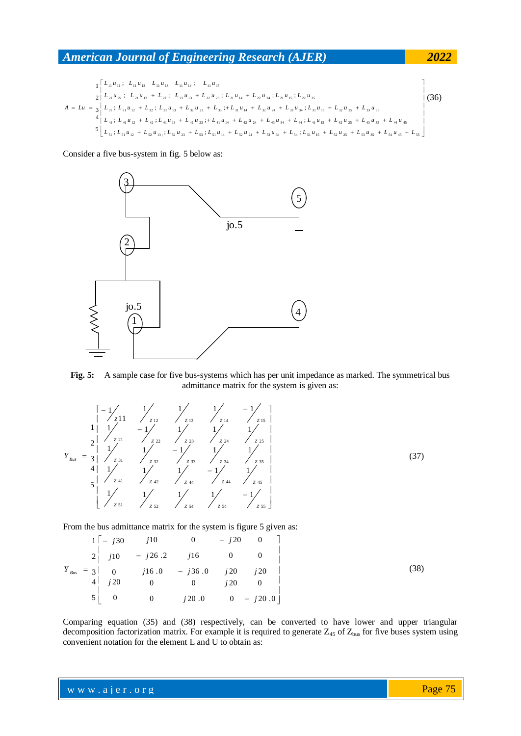$$
A = Lu = \begin{bmatrix} L_{11}u_{11}; & L_{11}u_{12} & L_{11}u_{13} & L_{11}u_{14}; & L_{11}u_{15} \\ 2|L_{21}u_{22}; & L_{21}u_{12} + L_{22}; & L_{21}u_{13} + L_{22}u_{23}; & L_{21}u_{14} + L_{22}u_{24}; & L_{21}u_{15}; & L_{22}u_{25} \\ 2|L_{31}i_{123}; & L_{31}u_{12} + L_{32}; & L_{31}u_{13} + L_{32}u_{23} + L_{33}; & L_{31}u_{14} + L_{32}u_{24} + L_{33}u_{34}; & L_{31}u_{15} + L_{32}u_{25} + L_{33}u_{35} \end{bmatrix} (36)
$$
\n
$$
A = Lu = \begin{bmatrix} 1 & L_{31}; L_{31}u_{12} + L_{32}; L_{31}u_{13} + L_{32}u_{23} + L_{33}; & L_{31}u_{14} + L_{32}u_{24} + L_{33}u_{34}; & L_{31}u_{15} + L_{32}u_{25} + L_{33}u_{35} \\ 4|L_{41}; L_{41}u_{12} + L_{42}; L_{41}u_{13} + L_{42}u_{23}; & L_{41}u_{14} + L_{42}u_{24} + L_{43}u_{34} + L_{44}; & L_{41}u_{15} + L_{42}u_{25} + L_{43}u_{35} + L_{44}u_{45} \\ 5|L_{51}; L_{51}u_{12} + L_{52}u_{13}; & L_{52}u_{23} + L_{53}; L_{51}u_{14} + L_{52}u_{24} + L_{53}u_{34} + L_{54}; & L_{51}u_{15} + L_{52}u_{25} + L_{53}u_{35} + L_{54}u_{45} + L_{55} \end{bmatrix}
$$

Consider a five bus-system in fig. 5 below as:



**Fig. 5:** A sample case for five bus-systems which has per unit impedance as marked. The symmetrical bus admittance matrix for the system is given as:

 55 45 35 25 15 54 44 34 24 14 54 44 33 23 13 52 42 32 22 12 51 41 31 21 1 1 1 1 1 1 1 1 1 1 1 1 1 1 1 1 1 1 1 1 1 1 1 1 11 1 5 4 3 2 1 *Z Z Z Z Z Z Z Z Z Z Z Z Z Z Z Z Z Z Z Z Z Z Z Z Bus z Y* (37)

From the bus admittance matrix for the system is figure 5 given as:

$$
Y_{Bus} = \begin{bmatrix} 1 \\ 2 \\ 3 \\ 4 \\ 5 \end{bmatrix} \begin{bmatrix} 10 & 0 & -j20 & 0 \\ j10 & -j26.2 & j16 & 0 & 0 \\ 0 & j16.0 & -j36.0 & j20 & j20 \\ 4 & j20 & 0 & 0 & j20 & 0 \\ 5 & 0 & 0 & j20.0 & 0 & -j20.0 \end{bmatrix}
$$
 (38)

Comparing equation (35) and (38) respectively, can be converted to have lower and upper triangular decomposition factorization matrix. For example it is required to generate  $Z_{45}$  of  $Z_{bus}$  for five buses system using convenient notation for the element L and U to obtain as: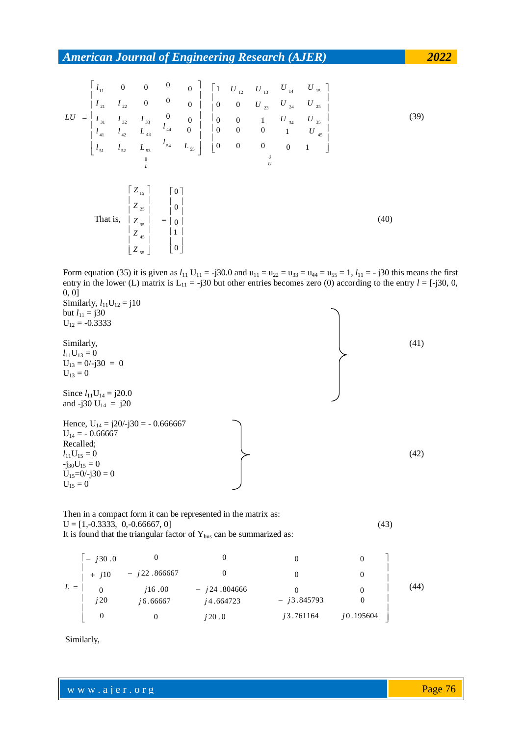$$
LU = \begin{bmatrix} l_{11} & 0 & 0 & 0 & 0 \ l_{21} & l_{22} & 0 & 0 & 0 \ l_{31} & l_{32} & l_{33} & 0 & 0 \ l_{41} & l_{42} & l_{43} & l_{44} & 0 \ l_{41} & l_{42} & l_{43} & l_{44} & 0 \ l_{41} & l_{42} & l_{43} & l_{44} & 0 \ l_{41} & l_{42} & l_{43} & l_{44} & 0 \ l_{41} & l_{42} & l_{43} & l_{44} & 0 \ l_{41} & l_{42} & l_{43} & l_{44} & 0 \ l_{41} & l_{42} & l_{43} & l_{44} & 0 \ l_{41} & l_{42} & l_{43} & l_{44} & 0 \ l_{41} & l_{42} & l_{43} & l_{44} & l_{44} \ l_{41} & l_{41} & l_{41} & l_{41} & l_{41} & l_{41} \ l_{41} & l_{41} & l_{41} & l_{41} & l_{41} & l_{41} & l_{41} \ l_{41} & l_{41} & l_{41} & l_{41} & l_{41} & l_{41} & l_{41} & l_{41} & l_{41} \ l_{41} & l_{41} & l_{41} & l_{41} & l_{41} & l_{41} & l_{41} & l_{41} \ l_{41} & l_{41} & l_{41} & l_{41} & l_{41} & l_{41} & l_{41} & l_{41} \ l_{41} & l_{41} & l_{41} & l_{41} & l_{41} & l_{41} & l_{41} & l_{41} & l_{41} & l_{41} & l_{41} & l_{41} & l_{41} & l_{41} & l_{41} & l_{41} & l_{41} & l_{41} & l_{41} & l_{41} & l_{41} & l_{41} & l_{41} & l_{41} & l_{41} & l_{41} & l_{41} & l_{41} & l_{41} & l_{41} & l_{41} & l_{41} & l_{41} & l_{41} & l_{41} & l_{41
$$

Form equation (35) it is given as  $l_{11}$  U<sub>11</sub> = -j30.0 and  $u_{11} = u_{22} = u_{33} = u_{44} = u_{55} = 1$ ,  $l_{11} = -j30$  this means the first entry in the lower (L) matrix is L<sup>11</sup> = -j30 but other entries becomes zero (0) according to the entry *l* = [-j30, 0,  $0, 0]$ 

Similarly,  $l_{11}U_{12} = j10$ but  $l_{11} = j30$  $U_{12} = -0.3333$ Similarly,  $(41)$  $l_{11}U_{13} = 0$  $U_{13} = 0/-j30 = 0$  $U_{13} = 0$ Since  $l_{11}U_{14} = j20.0$ and -j30  $U_{14} = j20$ Hence,  $U_{14} = j20/-j30 = -0.666667$  $U_{14} = -0.66667$ Recalled;  $l_{11}U_{15} = 0$  (42)  $-j_{30}U_{15}=0$  $U_{15}=0/-j30=0$  $U_{15} = 0$ 

Then in a compact form it can be represented in the matrix as:  $U = \{1, -0.3333, 0, -0.66667, 0\}$  (43) It is found that the triangular factor of  $Y_{bus}$  can be summarized as: I I I I I I  $\overline{a}$ I  $\mathsf{I}$  $\mathbb{I}$  $\mathbb{I}$  $L = |$  $\mathbb{I}$  $\mathbb{I}$ L 30 .0 *j* 3 .845793 *j* 24 .804666 *j*  $+ j10$  $j$ 0.195604 0 0 0 0 3 .761164 *j j* 0 0  $\boldsymbol{0}$ 20 .0 *j* 4 .664723 *j* 0  $\boldsymbol{0}$ 0 6 .66667 *j* 16 .00 *j* 22 .866667 *j* 0 0 20 *j* 0 (44)

Similarly,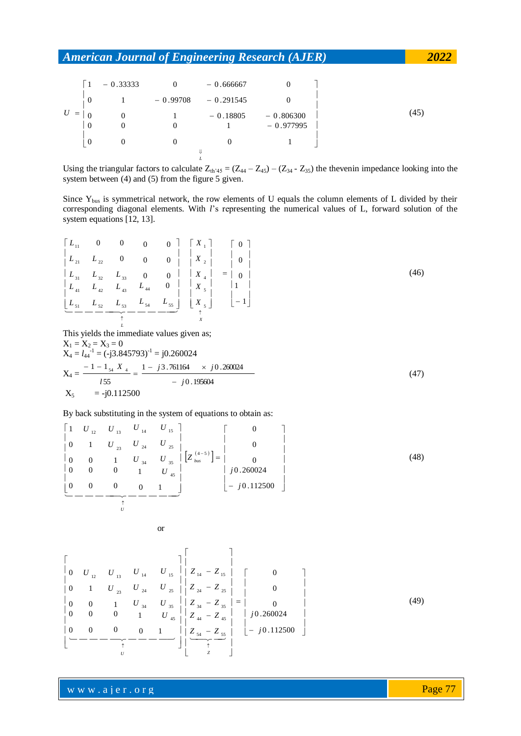| $^{\prime}~1$           | $-0.33333$ | $\Omega$   | $-0.666667$ | 0           |      |
|-------------------------|------------|------------|-------------|-------------|------|
| $\theta$                |            | $-0.99708$ | $-0.291545$ | 0           |      |
| $U =$<br>$\overline{0}$ | 0          |            | $-0.18805$  | $-0.806300$ | (45) |
| $\overline{0}$          | 0          | 0          |             | $-0.977995$ |      |
| $\boldsymbol{0}$        | 0          | 0          | $\theta$    |             |      |
|                         |            |            | ⇓<br>L      |             |      |

Using the triangular factors to calculate  $Z_{th'45} = (Z_{44} - Z_{45}) - (Z_{34} - Z_{35})$  the thevenin impedance looking into the system between (4) and (5) from the figure 5 given.

Since Y<sub>bus</sub> is symmetrical network, the row elements of U equals the column elements of L divided by their corresponding diagonal elements. With *l*'s representing the numerical values of L, forward solution of the system equations [12, 13].

$$
\begin{bmatrix} L_{11} & 0 & 0 & 0 & 0 \ | & L_{21} & L_{22} & 0 & 0 & 0 \ | & X_2 & 0 & 0 & 0 \ | & L_{31} & L_{32} & L_{33} & 0 & 0 & 0 \ | & L_{41} & L_{42} & L_{43} & L_{44} & 0 & 0 & 0 \ | & L_{51} & L_{52} & L_{53} & L_{54} & L_{55} & 0 & 0 & 0 \ | & & & & & & & & \end{bmatrix} \begin{bmatrix} X_1 \\ X_2 \\ X_3 \\ X_4 \\ X_5 \\ X_6 \end{bmatrix} = \begin{bmatrix} 0 \\ 0 \\ 0 \\ 1 \\ 1 \\ -1 \end{bmatrix}
$$
 (46)

This yields the immediate values given as;  $X_1 = X_2 = X_3 = 0$  $X_4 = l_{44}^{-1} = (-13.845793)^{-1} = 10.260024$ 

$$
X_4 = \frac{-1 - 1_{54}X_4}{155} = \frac{1 - j3.761164 \times j0.260024}{-j0.195604}
$$
\n
$$
X_5 = -j0.112500
$$
\n(47)

By back substituting in the system of equations to obtain as:

or

$$
\begin{bmatrix}\n1 & U_{12} & U_{13} & U_{14} & U_{15} \\
0 & 1 & U_{23} & U_{24} & U_{25} \\
0 & 0 & 1 & U_{34} & U_{35} \\
0 & 0 & 0 & 1 & U_{45} \\
0 & 0 & 0 & 0 & 1\n\end{bmatrix}\n\begin{bmatrix}\n0 & 1 \\
0 & 0 \\
0 & 0 \\
0 & 0 & 1 \\
0 & 0 & 0\n\end{bmatrix}
$$
\n(48)

$$
\begin{bmatrix}\n0 & U_{12} & U_{13} & U_{14} & U_{15} \\
0 & 1 & U_{23} & U_{24} & U_{25} \\
0 & 0 & 1 & U_{34} & U_{35} \\
0 & 0 & 0 & 1 & U_{45} \\
0 & 0 & 0 & 1 & U_{45} \\
0 & 0 & 0 & 0 & 1 \\
0 & 0 & 0 & 0 & 0\n\end{bmatrix}\n\begin{bmatrix}\n1 & 1 & 1 & 1 \\
2 & 1 & 1 & 1 \\
2 & 2 & 1 & 1 \\
2 & 3 & 1 & 1 \\
2 & 4 & 1 & 1 \\
3 & 1 & 1 & 1 \\
4 & 1 & 1 & 1\n\end{bmatrix}\n\begin{bmatrix}\n0 & 1 & 1 & 1 \\
2 & 1 & 1 & 1 \\
2 & 1 & 1 & 1 \\
2 & 1 & 1 & 1 \\
3 & 1 & 1 & 1 \\
4 & 1 & 1 & 1\n\end{bmatrix}
$$

(49)

www.ajer.org w w w . a j e r . o r g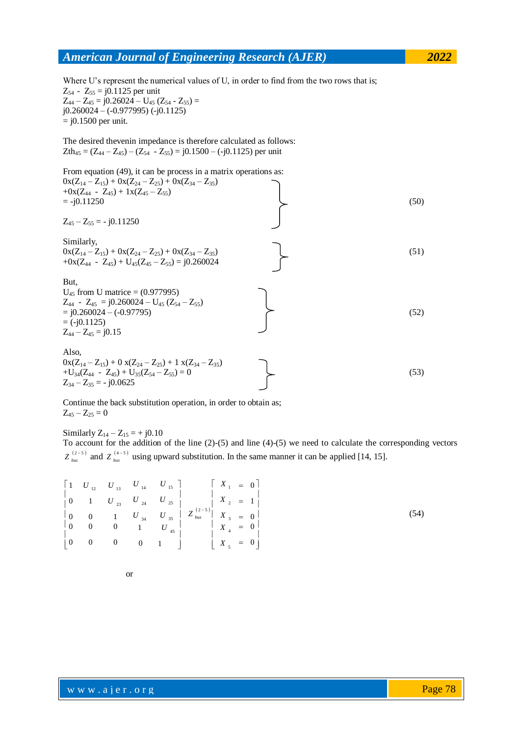Where U's represent the numerical values of U, in order to find from the two rows that is;  $Z_{54}$  -  $Z_{55} = j0.1125$  per unit  $Z_{44} - Z_{45} = j0.26024 - U_{45} (Z_{54} - Z_{55}) =$ j0.260024 – (-0.977995) (-j0.1125)  $=$  j0.1500 per unit.

The desired thevenin impedance is therefore calculated as follows:  $Zth_{45} = (Z_{44} - Z_{45}) - (Z_{54} - Z_{55}) = j0.1500 - (-j0.1125)$  per unit

From equation (49), it can be process in a matrix operations as:  $0x(Z_{14}-Z_{15})+0x(Z_{24}-Z_{25})+0x(Z_{34}-Z_{35})$  $+0x(Z_{44} - Z_{45}) + 1x(Z_{45} - Z_{55})$  $= -j0.11250$  (50)  $Z_{45} - Z_{55} = -10.11250$ Similarly,  $0x(Z_{14}-Z_{15})+0x(Z_{24}-Z_{25})+0x(Z_{34}-Z_{35})$  (51)  $+0x(Z_{44} - Z_{45}) + U_{45}(Z_{45} - Z_{55}) = j0.260024$ But,  $U_{45}$  from U matrice = (0.977995)  $Z_{44}$  -  $Z_{45}$  = j0.260024 – U<sub>45</sub> ( $Z_{54}$  –  $Z_{55}$ )  $=$  j0.260024 – (-0.97795) (52)  $= (-10.1125)$  $Z_{44} - Z_{45} = j0.15$ Also,  $0x(Z_{14}-Z_{15})+0x(Z_{24}-Z_{25})+1x(Z_{34}-Z_{35})$  $+U_{34}(Z_{44} - Z_{45}) + U_{35}(Z_{54} - Z_{55}) = 0$  (53)  $Z_{34} - Z_{35} = -j0.0625$ 

Continue the back substitution operation, in order to obtain as;  $Z_{45} - Z_{25} = 0$ 

Similarly  $Z_{14} - Z_{15} = +j0.10$ 

To account for the addition of the line  $(2)$ -(5) and line  $(4)$ -(5) we need to calculate the corresponding vectors  $Z_{bus}^{(2-5)}$  and  $Z_{bus}^{(4-5)}$  using upward substitution. In the same manner it can be applied [14, 15].

|  |  |                                                   | $\begin{bmatrix} 1 & U_{12} & U_{13} & U_{14} & U_{15} \end{bmatrix}$ $\begin{bmatrix} X_1 = 0 \end{bmatrix}$                                             |      |
|--|--|---------------------------------------------------|-----------------------------------------------------------------------------------------------------------------------------------------------------------|------|
|  |  |                                                   | $\begin{vmatrix}\n0 & 1 & U_{23} & U_{24} & U_{25} \\ 0 & 0 & 1 & U_{34} & U_{35} & Z_{bus}^{(2-5)} \\ 0 & 0 & 0 & 1 & U_{45} & X_{4} = 0\n\end{vmatrix}$ |      |
|  |  |                                                   |                                                                                                                                                           | (54) |
|  |  |                                                   |                                                                                                                                                           |      |
|  |  | $\begin{bmatrix} 0 & 0 & 0 & 0 & 1 \end{bmatrix}$ | $X_5 = 0$                                                                                                                                                 |      |

or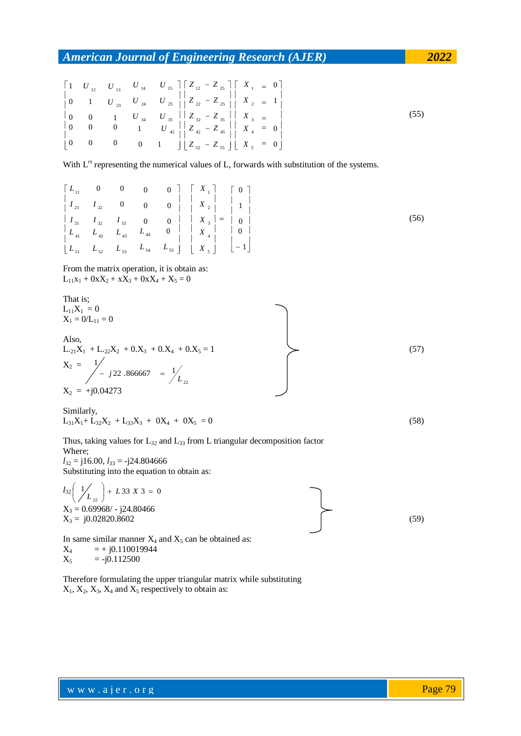|                                       |  | $\begin{bmatrix} 1 & U_{12} & U_{13} & U_{14} & U_{15} \ 0 & 1 & U_{23} & U_{24} & U_{25} \end{bmatrix} \begin{bmatrix} Z_{12} - Z_{25} \ Z_{22} - Z_{25} \ Z_{25} \end{bmatrix} \begin{bmatrix} X_1 = 0 \ X_2 = 1 \end{bmatrix}$ |  |
|---------------------------------------|--|-----------------------------------------------------------------------------------------------------------------------------------------------------------------------------------------------------------------------------------|--|
|                                       |  |                                                                                                                                                                                                                                   |  |
|                                       |  | $\begin{vmatrix} 0 & 0 & 1 & U_{34} & U_{35} &   & Z_{32} - Z_{35} &   & X_{35} = 0 \\ 0 & 0 & 0 & 1 & U_{45} &   & Z_{42} - Z_{45} &   & X_{45} = 0 \end{vmatrix}$                                                               |  |
| $\begin{bmatrix} 0 & 0 \end{bmatrix}$ |  | 0 1 $\left[\right  Z_{52} - Z_{55} \right] \left[\right  X_{5} = 0 \right]$                                                                                                                                                       |  |

With L<sup>rs</sup> representing the numerical values of L, forwards with substitution of the systems.

|  |  | $\left[\begin{array}{ccccccc} L_{11} & 0 & 0 & 0 & 0 \end{array}\right] \left[\begin{array}{ccccc} X_{1} & 0 & 0 \end{array}\right]$                                                                                           |      |
|--|--|--------------------------------------------------------------------------------------------------------------------------------------------------------------------------------------------------------------------------------|------|
|  |  | $\begin{vmatrix} I_{21} & I_{22} & 0 & 0 & 0 \end{vmatrix}$ $\begin{vmatrix} I & I_{21} & I_{12} \ I_{21} & I_{22} & 0 & 0 \end{vmatrix}$                                                                                      |      |
|  |  |                                                                                                                                                                                                                                | (56) |
|  |  | $\begin{vmatrix} I_{31} & I_{32} & I_{33} & 0 & 0 &   & X_3 &   & = &   & 0 &   \\ L_{41} & L_{42} & L_{43} & L_{44} & 0 &   & X_4 &   & 0 &   \\ L_{51} & L_{52} & L_{53} & L_{54} & L_{55} &   & X_5 &   & -1 \end{vmatrix}$ |      |
|  |  |                                                                                                                                                                                                                                |      |

From the matrix operation, it is obtain as:  $L_{11}x_1 + 0xX_2 + xX_3 + 0xX_4 + X_5 = 0$ 

That is;  
\n
$$
L_{11}X_1 = 0
$$
  
\n $X_1 = 0/L_{11} = 0$ 

Also,  
\n
$$
L_{21}X_1 + L_{22}X_2 + 0.X_3 + 0.X_4 + 0.X_5 = 1
$$
  
\n $X_2 = \begin{cases} 1/22.866667 = 1/2 \end{cases}$  (57)  
\n $X_2 = +j0.04273$ 

Similarly,  $L_{31}X_1 + L_{32}X_2 + L_{33}X_3 + 0X_4 + 0X_5 = 0$  (58)

Thus, taking values for  $L_{32}$  and  $L_{33}$  from L triangular decomposition factor Where; *l*<sup>32</sup> = j16.00, *l*<sup>33</sup> = -j24.804666

Substituting into the equation to obtain as:

$$
l_{32}\left(\frac{1}{L_{22}}\right) + L_{33}X3 = 0
$$
  
\n
$$
X_3 = 0.69968/-j24.80466
$$
  
\n
$$
X_3 = j0.02820.8602
$$
\n(59)

In same similar manner  $X_4$  and  $X_5$  can be obtained as:  $X_4$  = + j0.110019944<br> $X_5$  = -j0.112500  $= -j0.112500$ 

Therefore formulating the upper triangular matrix while substituting  $X_1, X_2, X_3, X_4$  and  $X_5$  respectively to obtain as:

(55)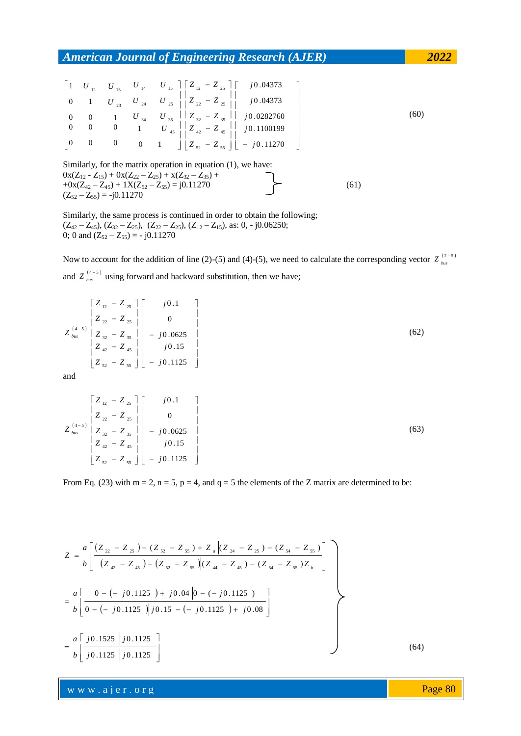|                                                         |                                                                  |  |  | $\begin{bmatrix} 1 & U_{12} & U_{13} & U_{14} & U_{15} \ 0 & 1 & U_{23} & U_{24} & U_{25} \ \end{bmatrix} \begin{bmatrix} Z_{12} - Z_{25} \ Z_{22} - Z_{25} \end{bmatrix} \begin{bmatrix} j0.04373 \ j0.04373 \end{bmatrix}$ |  |  |      |  |  |  |
|---------------------------------------------------------|------------------------------------------------------------------|--|--|------------------------------------------------------------------------------------------------------------------------------------------------------------------------------------------------------------------------------|--|--|------|--|--|--|
|                                                         |                                                                  |  |  |                                                                                                                                                                                                                              |  |  | (60) |  |  |  |
|                                                         |                                                                  |  |  | $\begin{vmatrix} 0 & 0 & 1 & U_{34} & U_{35} &   & Z_{32} - Z_{35} &   & j0.0282760 &   \\ 0 & 0 & 0 & 1 & U_{45} &   & Z_{42} - Z_{45} &   & j0.1100199 &   \\ \end{vmatrix}$                                               |  |  |      |  |  |  |
|                                                         |                                                                  |  |  | $\begin{bmatrix} 0 & 0 & 0 & 0 & 1 \end{bmatrix}$ $\begin{bmatrix} Z_{52} - Z_{55} \end{bmatrix}$ $\begin{bmatrix} -j0.11270 \end{bmatrix}$                                                                                  |  |  |      |  |  |  |
|                                                         | Similarly, for the matrix operation in equation $(1)$ , we have: |  |  |                                                                                                                                                                                                                              |  |  |      |  |  |  |
| $0x(Z_{12}-Z_{15})+0x(Z_{22}-Z_{25})+x(Z_{32}-Z_{35})+$ |                                                                  |  |  |                                                                                                                                                                                                                              |  |  |      |  |  |  |
|                                                         | $+0x(Z_{42}-Z_{45})+1X(Z_{52}-Z_{55})=j0.11270$<br>(61)          |  |  |                                                                                                                                                                                                                              |  |  |      |  |  |  |
|                                                         | $(Z_{52} - Z_{55}) = -j0.11270$                                  |  |  |                                                                                                                                                                                                                              |  |  |      |  |  |  |

Similarly, the same process is continued in order to obtain the following;  $(Z_{42}-Z_{45})$ ,  $(Z_{32}-Z_{25})$ ,  $(Z_{22}-Z_{25})$ ,  $(Z_{12}-Z_{15})$ , as: 0, - j0.06250; 0; 0 and  $(Z_{52} - Z_{55}) = -j0.11270$ 

Now to account for the addition of line (2)-(5) and (4)-(5), we need to calculate the corresponding vector  $Z_{bus}^{(2-5)}$ and  $Z_{bus}^{(4-5)}$  using forward and backward substitution, then we have;

$$
Z_{bus}^{(4-5)} \begin{bmatrix} Z_{12} - Z_{25} \parallel & j0.1 \\ Z_{22} - Z_{25} \parallel & 0 \\ Z_{bus} & Z_{32} - Z_{35} \parallel & -j0.0625 \\ Z_{42} - Z_{45} \parallel & j0.15 \\ Z_{52} - Z_{55} \parallel & -j0.1125 \end{bmatrix}
$$
(62)

and

$$
Z_{bus}^{(4-5)}\begin{bmatrix} Z_{12} - Z_{25} \ | & j0.1 \ Z_{22} - Z_{25} \ | & 0 \ Z_{bus}^{(4-5)} \ | & Z_{32} - Z_{35} \ | & -j0.0625 \ | & Z_{42} - Z_{45} \ | & j0.15 \ | & Z_{52} - Z_{55} \end{bmatrix} \begin{bmatrix} . & 0 & 0 & 0 \\ 0 & 0 & 0 & 0 \\ 0 & 0 & 0 & 0 \\ 0 & 0 & 0 & 0 \\ 0 & 0 & 0 & 0 \end{bmatrix}
$$
 (63)

From Eq. (23) with  $m = 2$ ,  $n = 5$ ,  $p = 4$ , and  $q = 5$  the elements of the Z matrix are determined to be:

$$
Z = \frac{a}{b} \left[ \frac{(Z_{22} - Z_{25}) - (Z_{52} - Z_{55}) + Z_a (Z_{24} - Z_{25}) - (Z_{54} - Z_{55})}{(Z_{42} - Z_{45}) - (Z_{52} - Z_{55}) (Z_{44} - Z_{45}) - (Z_{54} - Z_{55}) Z_b} \right]
$$
  
= 
$$
\frac{a}{b} \left[ \frac{0 - (-j0.1125) + j0.04 (0 - (-j0.1125))}{0 - (-j0.1125) + j0.08} \right]
$$
  
= 
$$
\frac{a}{b} \left[ \frac{j0.1525 (j0.1125)}{j0.1125 (j0.1125)} \right]
$$

www.ajer.org w w w . a j e r . o r g

(64)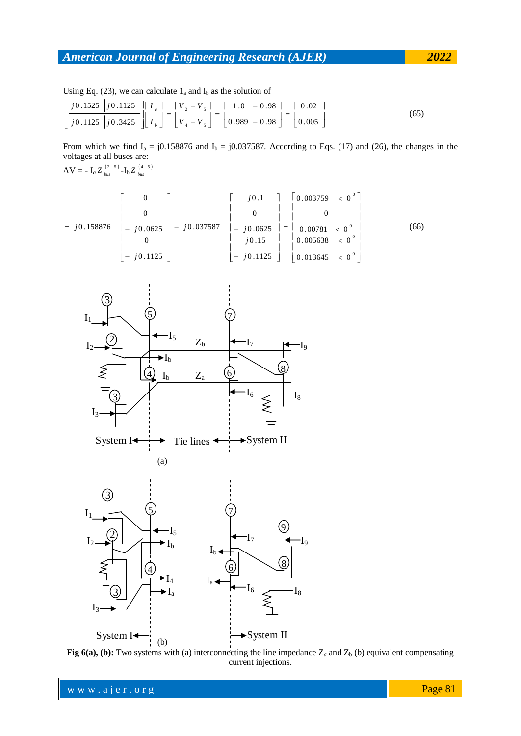Using Eq. (23), we can calculate  $1_a$  and  $I_b$  as the solution of

 $AV = - I_a Z_{bus}^{(2-5)} - I_b Z_{bus}^{(4-5)}$ 

$$
\begin{bmatrix} j0.1525 & j0.1125 \\ j0.1125 & j0.3425 \end{bmatrix} \begin{bmatrix} I_a \\ I_b \end{bmatrix} = \begin{bmatrix} V_2 - V_5 \\ V_4 - V_5 \end{bmatrix} = \begin{bmatrix} 1.0 & -0.98 \\ 0.989 - 0.98 \end{bmatrix} = \begin{bmatrix} 0.02 \\ 0.005 \end{bmatrix}
$$
 (65)

From which we find  $I_a = j0.158876$  and  $I_b = j0.037587$ . According to Eqs. (17) and (26), the changes in the voltages at all buses are:

 $\langle$  0<sup>0</sup>  $\overline{\phantom{a}}$  $\overline{\phantom{a}}$  $\overline{\phantom{a}}$  $\overline{\phantom{a}}$  $\overline{\phantom{a}}$  $\langle$  0<sup>o</sup> ]  $\begin{bmatrix} 0.013645 & \lt 0 \end{bmatrix}$  $\mathbb{I}$  $\mathbb{I}$  $\mathsf{I}$  $\mathbb{I}$  $\mathbb{I}$  $\begin{bmatrix} 1 & 0.003759 & 0 \end{bmatrix}$  $\overline{\phantom{a}}$  $= 0.00781$  < 0 .1125 *j*  $\overline{\phantom{a}}$  $\overline{\phantom{a}}$  $\overline{\phantom{a}}$  $\overline{\phantom{a}}$  $\overline{\phantom{a}}$ L  $\mathsf{I}$  $\mathsf{I}$  $- j0.037587$  |  $\mathsf{I}$  $\mathsf{I}$ L L  $\overline{a}$  $\left[ -j0.1125 \right]$  $\overline{\phantom{a}}$  $\overline{\phantom{a}}$  $\overline{\phantom{a}}$  $\overline{\phantom{a}}$  $\overline{\phantom{a}}$  $\overline{\phantom{a}}$ L L L L L L 0  $\mathbf 0$  $0.005638 < 0$  $0.00781 < 0$ 0 0 .15  $0.037587$   $\qquad$   $\qquad$   $\qquad$   $\qquad$   $\qquad$   $\qquad$   $\qquad$   $\qquad$   $\qquad$   $\qquad$   $\qquad$   $\qquad$   $\qquad$   $\qquad$   $\qquad$   $\qquad$   $\qquad$   $\qquad$   $\qquad$   $\qquad$   $\qquad$   $\qquad$   $\qquad$   $\qquad$   $\qquad$   $\qquad$   $\qquad$   $\qquad$   $\qquad$   $\qquad$   $\qquad$   $\qquad$   $\qquad$   $\qquad$   $\qquad$  0 0 .1 *j*  $\boldsymbol{0}$ 0.158876  $\vert$  - j0.0625  $\overline{0}$ 0 *j*  $j$ 0.158876 |\_  $j$ 0.0625 |\_  $j$ 0.037587 |\_  $j$ (66)